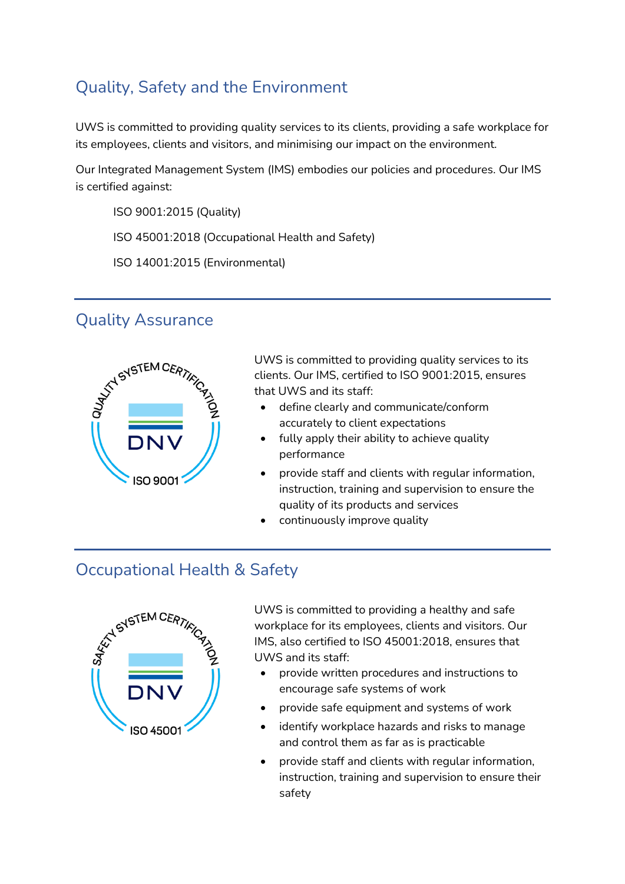## Quality, Safety and the Environment

UWS is committed to providing quality services to its clients, providing a safe workplace for its employees, clients and visitors, and minimising our impact on the environment.

Our Integrated Management System (IMS) embodies our policies and procedures. Our IMS is certified against:

ISO 9001:2015 (Quality)

ISO 45001:2018 (Occupational Health and Safety)

ISO 14001:2015 (Environmental)

## Quality Assurance



UWS is committed to providing quality services to its clients. Our IMS, certified to ISO 9001:2015, ensures that UWS and its staff:

- define clearly and communicate/conform accurately to client expectations
- fully apply their ability to achieve quality performance
- provide staff and clients with regular information, instruction, training and supervision to ensure the quality of its products and services
- continuously improve quality

## Occupational Health & Safety



UWS is committed to providing a healthy and safe workplace for its employees, clients and visitors. Our IMS, also certified to ISO 45001:2018, ensures that UWS and its staff:

- provide written procedures and instructions to encourage safe systems of work
- provide safe equipment and systems of work
- identify workplace hazards and risks to manage and control them as far as is practicable
- provide staff and clients with regular information, instruction, training and supervision to ensure their safety